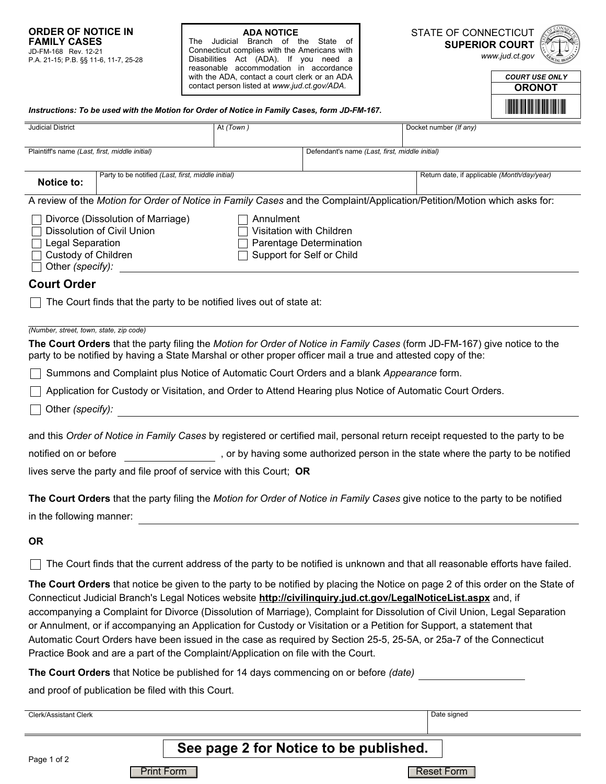**ADA NOTICE**<br>The Judicial Branch of the State of Connecticut complies with the Americans with Disabilities Act (ADA). If you need a reasonable accommodation in accordance with the ADA, contact a court clerk or an ADA contact person listed at *www.jud.ct.gov/ADA.*

STATE OF CONNECTICUT **SUPERIOR COURT** 

*www.jud.ct.gov*



| <b>COURT USE ONLY</b>    |
|--------------------------|
| <b>ORONOT</b>            |
| <b>THE REAL PROPERTY</b> |

| Instructions: To be used with the Motion for Order of Notice in Family Cases, form JD-FM-167.                                                                                                                                                                                                                                                                                                                                                                                                                                                                                                                                                                                                                         |                                       |                                                                                   |                                             |  |
|-----------------------------------------------------------------------------------------------------------------------------------------------------------------------------------------------------------------------------------------------------------------------------------------------------------------------------------------------------------------------------------------------------------------------------------------------------------------------------------------------------------------------------------------------------------------------------------------------------------------------------------------------------------------------------------------------------------------------|---------------------------------------|-----------------------------------------------------------------------------------|---------------------------------------------|--|
| <b>Judicial District</b>                                                                                                                                                                                                                                                                                                                                                                                                                                                                                                                                                                                                                                                                                              | At (Town)                             |                                                                                   | Docket number (If any)                      |  |
| Plaintiff's name (Last, first, middle initial)                                                                                                                                                                                                                                                                                                                                                                                                                                                                                                                                                                                                                                                                        |                                       | Defendant's name (Last, first, middle initial)                                    |                                             |  |
| Party to be notified (Last, first, middle initial)<br><b>Notice to:</b>                                                                                                                                                                                                                                                                                                                                                                                                                                                                                                                                                                                                                                               |                                       |                                                                                   | Return date, if applicable (Month/day/year) |  |
| A review of the Motion for Order of Notice in Family Cases and the Complaint/Application/Petition/Motion which asks for:                                                                                                                                                                                                                                                                                                                                                                                                                                                                                                                                                                                              |                                       |                                                                                   |                                             |  |
| Divorce (Dissolution of Marriage)<br>Dissolution of Civil Union<br>Legal Separation<br>Custody of Children<br>Other (specify):                                                                                                                                                                                                                                                                                                                                                                                                                                                                                                                                                                                        | Annulment<br>Visitation with Children | Parentage Determination<br>Support for Self or Child                              |                                             |  |
| <b>Court Order</b>                                                                                                                                                                                                                                                                                                                                                                                                                                                                                                                                                                                                                                                                                                    |                                       |                                                                                   |                                             |  |
| The Court finds that the party to be notified lives out of state at:                                                                                                                                                                                                                                                                                                                                                                                                                                                                                                                                                                                                                                                  |                                       |                                                                                   |                                             |  |
| (Number, street, town, state, zip code)                                                                                                                                                                                                                                                                                                                                                                                                                                                                                                                                                                                                                                                                               |                                       |                                                                                   |                                             |  |
| The Court Orders that the party filing the Motion for Order of Notice in Family Cases (form JD-FM-167) give notice to the<br>party to be notified by having a State Marshal or other proper officer mail a true and attested copy of the:                                                                                                                                                                                                                                                                                                                                                                                                                                                                             |                                       |                                                                                   |                                             |  |
| Summons and Complaint plus Notice of Automatic Court Orders and a blank Appearance form.                                                                                                                                                                                                                                                                                                                                                                                                                                                                                                                                                                                                                              |                                       |                                                                                   |                                             |  |
| Application for Custody or Visitation, and Order to Attend Hearing plus Notice of Automatic Court Orders.                                                                                                                                                                                                                                                                                                                                                                                                                                                                                                                                                                                                             |                                       |                                                                                   |                                             |  |
| Other (specify):                                                                                                                                                                                                                                                                                                                                                                                                                                                                                                                                                                                                                                                                                                      |                                       |                                                                                   |                                             |  |
| and this Order of Notice in Family Cases by registered or certified mail, personal return receipt requested to the party to be                                                                                                                                                                                                                                                                                                                                                                                                                                                                                                                                                                                        |                                       |                                                                                   |                                             |  |
| notified on or before                                                                                                                                                                                                                                                                                                                                                                                                                                                                                                                                                                                                                                                                                                 |                                       | , or by having some authorized person in the state where the party to be notified |                                             |  |
| lives serve the party and file proof of service with this Court; OR                                                                                                                                                                                                                                                                                                                                                                                                                                                                                                                                                                                                                                                   |                                       |                                                                                   |                                             |  |
| The Court Orders that the party filing the Motion for Order of Notice in Family Cases give notice to the party to be notified<br>in the following manner:                                                                                                                                                                                                                                                                                                                                                                                                                                                                                                                                                             |                                       |                                                                                   |                                             |  |
| <b>OR</b>                                                                                                                                                                                                                                                                                                                                                                                                                                                                                                                                                                                                                                                                                                             |                                       |                                                                                   |                                             |  |
| The Court finds that the current address of the party to be notified is unknown and that all reasonable efforts have failed.                                                                                                                                                                                                                                                                                                                                                                                                                                                                                                                                                                                          |                                       |                                                                                   |                                             |  |
| The Court Orders that notice be given to the party to be notified by placing the Notice on page 2 of this order on the State of<br>Connecticut Judicial Branch's Legal Notices website http://civilinquiry.jud.ct.gov/LegalNoticeList.aspx and, if<br>accompanying a Complaint for Divorce (Dissolution of Marriage), Complaint for Dissolution of Civil Union, Legal Separation<br>or Annulment, or if accompanying an Application for Custody or Visitation or a Petition for Support, a statement that<br>Automatic Court Orders have been issued in the case as required by Section 25-5, 25-5A, or 25a-7 of the Connecticut<br>Practice Book and are a part of the Complaint/Application on file with the Court. |                                       |                                                                                   |                                             |  |

**The Court Orders** that Notice be published for 14 days commencing on or before *(date)*

and proof of publication be filed with this Court.

Page 1 of 2 Clerk/Assistant Clerk Date signed Clerk Clerk Date signed **See page 2 for Notice to be published.** Print Form **Reset Form**